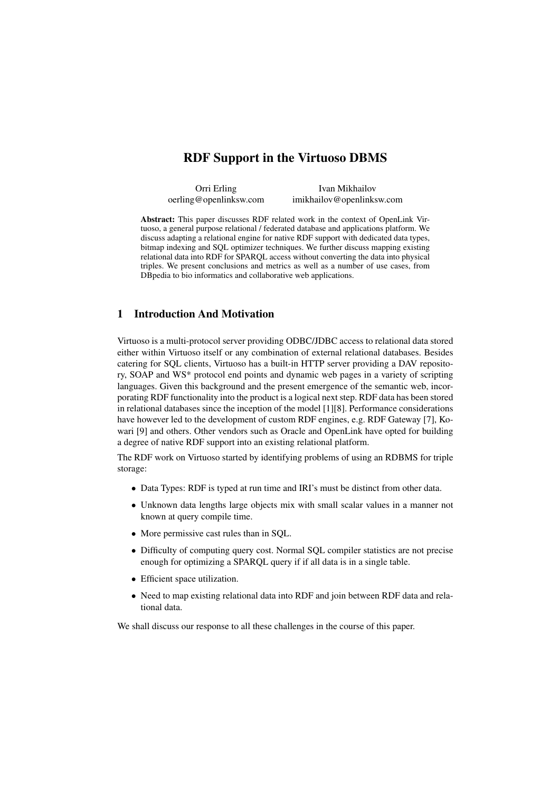# RDF Support in the Virtuoso DBMS

| Orri Erling            | Ivan Mikhailov            |
|------------------------|---------------------------|
| oerling@openlinksw.com | imikhailov@openlinksw.com |

Abstract: This paper discusses RDF related work in the context of OpenLink Virtuoso, a general purpose relational / federated database and applications platform. We discuss adapting a relational engine for native RDF support with dedicated data types, bitmap indexing and SQL optimizer techniques. We further discuss mapping existing relational data into RDF for SPARQL access without converting the data into physical triples. We present conclusions and metrics as well as a number of use cases, from DBpedia to bio informatics and collaborative web applications.

# 1 Introduction And Motivation

Virtuoso is a multi-protocol server providing ODBC/JDBC access to relational data stored either within Virtuoso itself or any combination of external relational databases. Besides catering for SQL clients, Virtuoso has a built-in HTTP server providing a DAV repository, SOAP and WS\* protocol end points and dynamic web pages in a variety of scripting languages. Given this background and the present emergence of the semantic web, incorporating RDF functionality into the product is a logical next step. RDF data has been stored in relational databases since the inception of the model [1][8]. Performance considerations have however led to the development of custom RDF engines, e.g. RDF Gateway [7], Kowari [9] and others. Other vendors such as Oracle and OpenLink have opted for building a degree of native RDF support into an existing relational platform.

The RDF work on Virtuoso started by identifying problems of using an RDBMS for triple storage:

- Data Types: RDF is typed at run time and IRI's must be distinct from other data.
- Unknown data lengths large objects mix with small scalar values in a manner not known at query compile time.
- More permissive cast rules than in SQL.
- Difficulty of computing query cost. Normal SQL compiler statistics are not precise enough for optimizing a SPARQL query if if all data is in a single table.
- Efficient space utilization.
- Need to map existing relational data into RDF and join between RDF data and relational data.

We shall discuss our response to all these challenges in the course of this paper.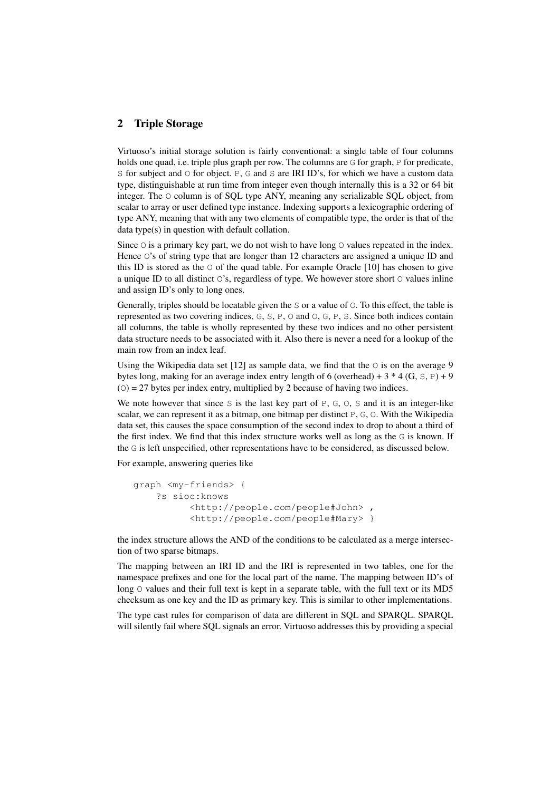### 2 Triple Storage

Virtuoso's initial storage solution is fairly conventional: a single table of four columns holds one quad, i.e. triple plus graph per row. The columns are G for graph, P for predicate, S for subject and  $\circ$  for object. P, G and S are IRI ID's, for which we have a custom data type, distinguishable at run time from integer even though internally this is a 32 or 64 bit integer. The O column is of SQL type ANY, meaning any serializable SQL object, from scalar to array or user defined type instance. Indexing supports a lexicographic ordering of type ANY, meaning that with any two elements of compatible type, the order is that of the data type(s) in question with default collation.

Since  $\circ$  is a primary key part, we do not wish to have long  $\circ$  values repeated in the index. Hence O's of string type that are longer than 12 characters are assigned a unique ID and this ID is stored as the  $\circ$  of the quad table. For example Oracle [10] has chosen to give a unique ID to all distinct O's, regardless of type. We however store short O values inline and assign ID's only to long ones.

Generally, triples should be locatable given the S or a value of O. To this effect, the table is represented as two covering indices, G, S, P, O and O, G, P, S. Since both indices contain all columns, the table is wholly represented by these two indices and no other persistent data structure needs to be associated with it. Also there is never a need for a lookup of the main row from an index leaf.

Using the Wikipedia data set [12] as sample data, we find that the  $\circ$  is on the average 9 bytes long, making for an average index entry length of 6 (overhead) + 3  $*$  4 (G, S, P) + 9  $(0) = 27$  bytes per index entry, multiplied by 2 because of having two indices.

We note however that since S is the last key part of  $P$ ,  $G$ ,  $O$ ,  $S$  and it is an integer-like scalar, we can represent it as a bitmap, one bitmap per distinct P, G, O. With the Wikipedia data set, this causes the space consumption of the second index to drop to about a third of the first index. We find that this index structure works well as long as the G is known. If the G is left unspecified, other representations have to be considered, as discussed below.

For example, answering queries like

```
graph <my-friends> {
    ?s sioc:knows
          <http://people.com/people#John> ,
          <http://people.com/people#Mary> }
```
the index structure allows the AND of the conditions to be calculated as a merge intersection of two sparse bitmaps.

The mapping between an IRI ID and the IRI is represented in two tables, one for the namespace prefixes and one for the local part of the name. The mapping between ID's of long  $\circ$  values and their full text is kept in a separate table, with the full text or its MD5 checksum as one key and the ID as primary key. This is similar to other implementations.

The type cast rules for comparison of data are different in SQL and SPARQL. SPARQL will silently fail where SQL signals an error. Virtuoso addresses this by providing a special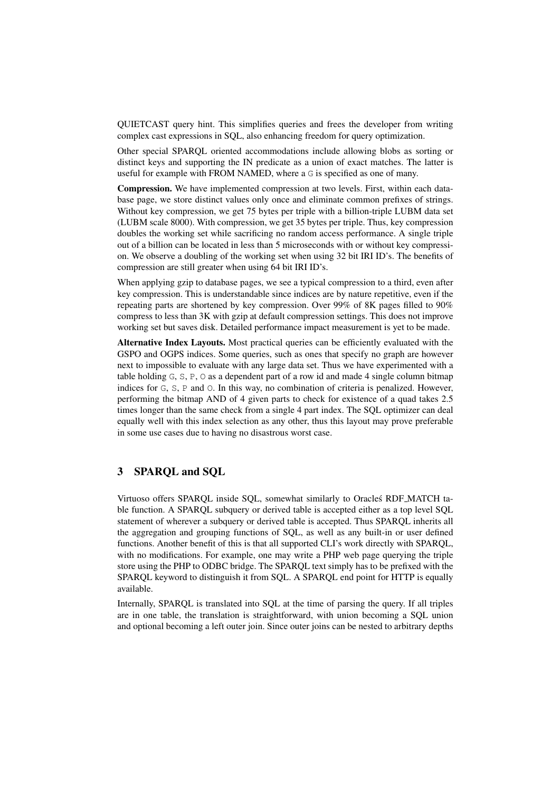QUIETCAST query hint. This simplifies queries and frees the developer from writing complex cast expressions in SQL, also enhancing freedom for query optimization.

Other special SPARQL oriented accommodations include allowing blobs as sorting or distinct keys and supporting the IN predicate as a union of exact matches. The latter is useful for example with FROM NAMED, where a G is specified as one of many.

Compression. We have implemented compression at two levels. First, within each database page, we store distinct values only once and eliminate common prefixes of strings. Without key compression, we get 75 bytes per triple with a billion-triple LUBM data set (LUBM scale 8000). With compression, we get 35 bytes per triple. Thus, key compression doubles the working set while sacrificing no random access performance. A single triple out of a billion can be located in less than 5 microseconds with or without key compression. We observe a doubling of the working set when using 32 bit IRI ID's. The benefits of compression are still greater when using 64 bit IRI ID's.

When applying gzip to database pages, we see a typical compression to a third, even after key compression. This is understandable since indices are by nature repetitive, even if the repeating parts are shortened by key compression. Over 99% of 8K pages filled to 90% compress to less than 3K with gzip at default compression settings. This does not improve working set but saves disk. Detailed performance impact measurement is yet to be made.

Alternative Index Layouts. Most practical queries can be efficiently evaluated with the GSPO and OGPS indices. Some queries, such as ones that specify no graph are however next to impossible to evaluate with any large data set. Thus we have experimented with a table holding G, S, P,  $\circ$  as a dependent part of a row id and made 4 single column bitmap indices for G, S, P and O. In this way, no combination of criteria is penalized. However, performing the bitmap AND of 4 given parts to check for existence of a quad takes 2.5 times longer than the same check from a single 4 part index. The SQL optimizer can deal equally well with this index selection as any other, thus this layout may prove preferable in some use cases due to having no disastrous worst case.

# 3 SPARQL and SQL

Virtuoso offers SPARQL inside SQL, somewhat similarly to Oracles RDF\_MATCH table function. A SPARQL subquery or derived table is accepted either as a top level SQL statement of wherever a subquery or derived table is accepted. Thus SPARQL inherits all the aggregation and grouping functions of SQL, as well as any built-in or user defined functions. Another benefit of this is that all supported CLI's work directly with SPARQL, with no modifications. For example, one may write a PHP web page querying the triple store using the PHP to ODBC bridge. The SPARQL text simply has to be prefixed with the SPARQL keyword to distinguish it from SQL. A SPARQL end point for HTTP is equally available.

Internally, SPARQL is translated into SQL at the time of parsing the query. If all triples are in one table, the translation is straightforward, with union becoming a SQL union and optional becoming a left outer join. Since outer joins can be nested to arbitrary depths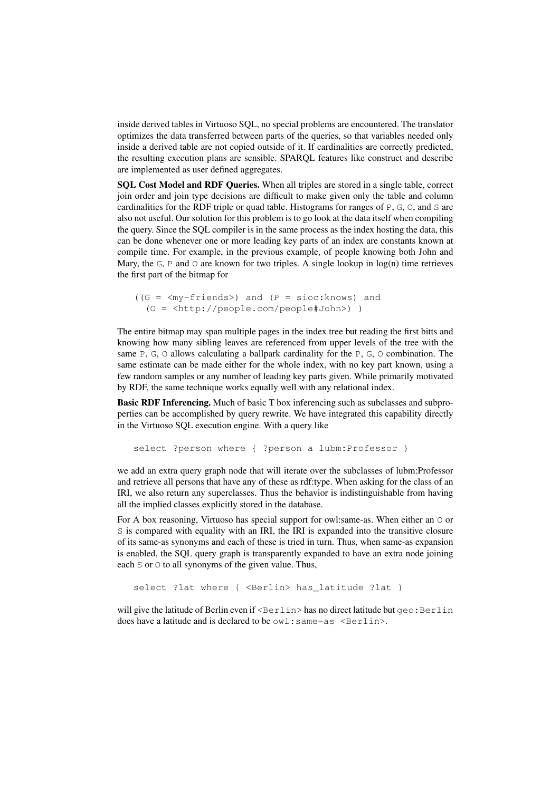inside derived tables in Virtuoso SQL, no special problems are encountered. The translator optimizes the data transferred between parts of the queries, so that variables needed only inside a derived table are not copied outside of it. If cardinalities are correctly predicted, the resulting execution plans are sensible. SPARQL features like construct and describe are implemented as user defined aggregates.

SQL Cost Model and RDF Queries. When all triples are stored in a single table, correct join order and join type decisions are difficult to make given only the table and column cardinalities for the RDF triple or quad table. Histograms for ranges of  $P$ ,  $G$ ,  $O$ , and  $S$  are also not useful. Our solution for this problem is to go look at the data itself when compiling the query. Since the SQL compiler is in the same process as the index hosting the data, this can be done whenever one or more leading key parts of an index are constants known at compile time. For example, in the previous example, of people knowing both John and Mary, the G, P and  $\circ$  are known for two triples. A single lookup in log(n) time retrieves the first part of the bitmap for

 $((G = )$  and  $(P = sioc:knows)$  and (O = <http://people.com/people#John>) )

The entire bitmap may span multiple pages in the index tree but reading the first bitts and knowing how many sibling leaves are referenced from upper levels of the tree with the same P, G, O allows calculating a ballpark cardinality for the P, G, O combination. The same estimate can be made either for the whole index, with no key part known, using a few random samples or any number of leading key parts given. While primarily motivated by RDF, the same technique works equally well with any relational index.

Basic RDF Inferencing. Much of basic T box inferencing such as subclasses and subproperties can be accomplished by query rewrite. We have integrated this capability directly in the Virtuoso SQL execution engine. With a query like

select ?person where { ?person a lubm:Professor }

we add an extra query graph node that will iterate over the subclasses of lubm:Professor and retrieve all persons that have any of these as rdf:type. When asking for the class of an IRI, we also return any superclasses. Thus the behavior is indistinguishable from having all the implied classes explicitly stored in the database.

For A box reasoning, Virtuoso has special support for owl: same-as. When either an  $\circ$  or S is compared with equality with an IRI, the IRI is expanded into the transitive closure of its same-as synonyms and each of these is tried in turn. Thus, when same-as expansion is enabled, the SQL query graph is transparently expanded to have an extra node joining each S or O to all synonyms of the given value. Thus,

select ?lat where { <Berlin> has\_latitude ?lat }

will give the latitude of Berlin even if <Berlin> has no direct latitude but geo:Berlin does have a latitude and is declared to be  $\text{owl:}\, \text{same-as}$  <Berlin>.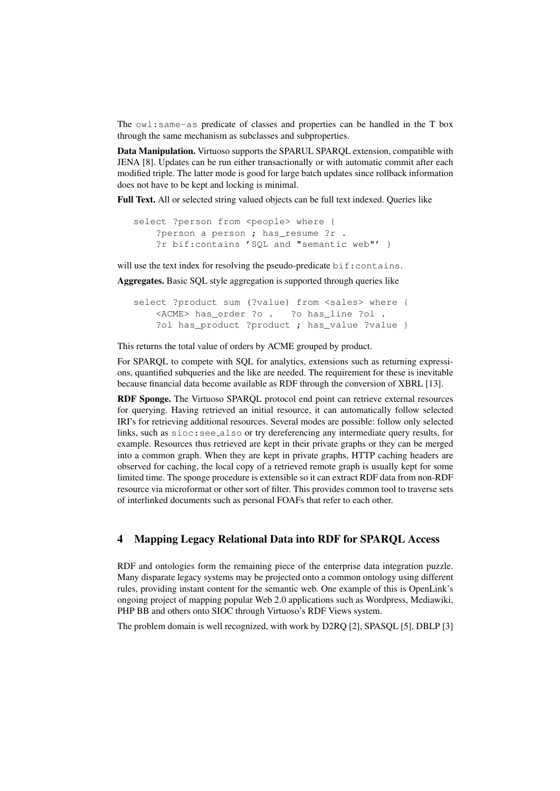The  $\text{owl:}\, \text{same—as}$  predicate of classes and properties can be handled in the T box through the same mechanism as subclasses and subproperties.

Data Manipulation. Virtuoso supports the SPARUL SPARQL extension, compatible with JENA [8]. Updates can be run either transactionally or with automatic commit after each modified triple. The latter mode is good for large batch updates since rollback information does not have to be kept and locking is minimal.

Full Text. All or selected string valued objects can be full text indexed. Queries like

```
select ?person from <people> where {
    ?person a person ; has_resume ?r .
    ?r bif:contains 'SQL and "semantic web"' }
```
will use the text index for resolving the pseudo-predicate  $\text{bit:}$  contains.

Aggregates. Basic SQL style aggregation is supported through queries like

```
select ?product sum (?value) from <sales> where {
    <ACME> has_order ?o . ?o has_line ?ol .
    ?ol has product ?product ; has value ?value }
```
This returns the total value of orders by ACME grouped by product.

For SPARQL to compete with SQL for analytics, extensions such as returning expressions, quantified subqueries and the like are needed. The requirement for these is inevitable because financial data become available as RDF through the conversion of XBRL [13].

RDF Sponge. The Virtuoso SPARQL protocol end point can retrieve external resources for querying. Having retrieved an initial resource, it can automatically follow selected IRI's for retrieving additional resources. Several modes are possible: follow only selected links, such as sioc:see also or try dereferencing any intermediate query results, for example. Resources thus retrieved are kept in their private graphs or they can be merged into a common graph. When they are kept in private graphs, HTTP caching headers are observed for caching, the local copy of a retrieved remote graph is usually kept for some limited time. The sponge procedure is extensible so it can extract RDF data from non-RDF resource via microformat or other sort of filter. This provides common tool to traverse sets of interlinked documents such as personal FOAFs that refer to each other.

## 4 Mapping Legacy Relational Data into RDF for SPARQL Access

RDF and ontologies form the remaining piece of the enterprise data integration puzzle. Many disparate legacy systems may be projected onto a common ontology using different rules, providing instant content for the semantic web. One example of this is OpenLink's ongoing project of mapping popular Web 2.0 applications such as Wordpress, Mediawiki, PHP BB and others onto SIOC through Virtuoso's RDF Views system.

The problem domain is well recognized, with work by D2RQ [2], SPASQL [5], DBLP [3]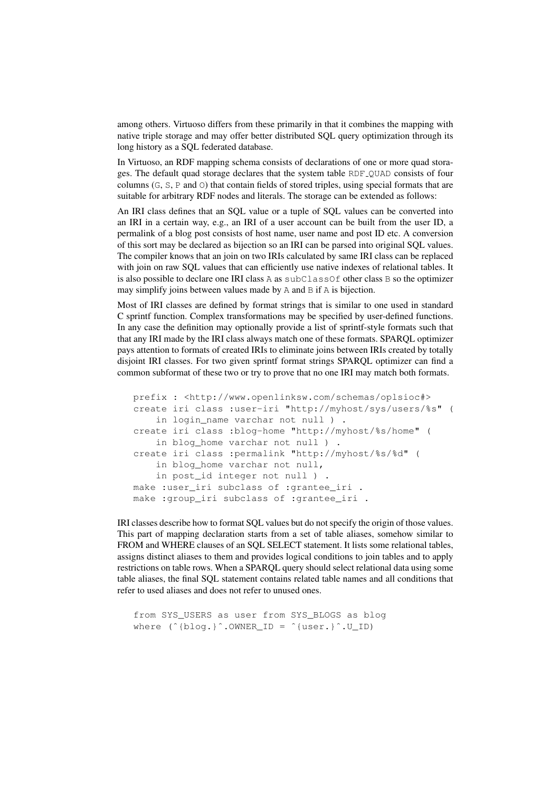among others. Virtuoso differs from these primarily in that it combines the mapping with native triple storage and may offer better distributed SQL query optimization through its long history as a SQL federated database.

In Virtuoso, an RDF mapping schema consists of declarations of one or more quad storages. The default quad storage declares that the system table RDF QUAD consists of four columns  $(G, S, P \text{ and } O)$  that contain fields of stored triples, using special formats that are suitable for arbitrary RDF nodes and literals. The storage can be extended as follows:

An IRI class defines that an SQL value or a tuple of SQL values can be converted into an IRI in a certain way, e.g., an IRI of a user account can be built from the user ID, a permalink of a blog post consists of host name, user name and post ID etc. A conversion of this sort may be declared as bijection so an IRI can be parsed into original SQL values. The compiler knows that an join on two IRIs calculated by same IRI class can be replaced with join on raw SQL values that can efficiently use native indexes of relational tables. It is also possible to declare one IRI class A as subClassOf other class B so the optimizer may simplify joins between values made by  $A$  and  $B$  if  $A$  is bijection.

Most of IRI classes are defined by format strings that is similar to one used in standard C sprintf function. Complex transformations may be specified by user-defined functions. In any case the definition may optionally provide a list of sprintf-style formats such that that any IRI made by the IRI class always match one of these formats. SPARQL optimizer pays attention to formats of created IRIs to eliminate joins between IRIs created by totally disjoint IRI classes. For two given sprintf format strings SPARQL optimizer can find a common subformat of these two or try to prove that no one IRI may match both formats.

```
prefix : <http://www.openlinksw.com/schemas/oplsioc#>
create iri class :user-iri "http://myhost/sys/users/%s" (
    in login_name varchar not null ) .
create iri class :blog-home "http://myhost/%s/home" (
    in blog_home varchar not null ) .
create iri class :permalink "http://myhost/%s/%d" (
    in blog_home varchar not null,
    in post_id integer not null ) .
make :user_iri subclass of :grantee_iri .
make :group_iri subclass of :grantee_iri .
```
IRI classes describe how to format SQL values but do not specify the origin of those values. This part of mapping declaration starts from a set of table aliases, somehow similar to FROM and WHERE clauses of an SQL SELECT statement. It lists some relational tables, assigns distinct aliases to them and provides logical conditions to join tables and to apply restrictions on table rows. When a SPARQL query should select relational data using some table aliases, the final SQL statement contains related table names and all conditions that refer to used aliases and does not refer to unused ones.

from SYS\_USERS as user from SYS\_BLOGS as blog where  $(\hat{\theta}$ [blog.} $\hat{\theta}$ .OWNER\_ID =  $\hat{\theta}$ [user.} $\hat{\theta}$ .U\_ID)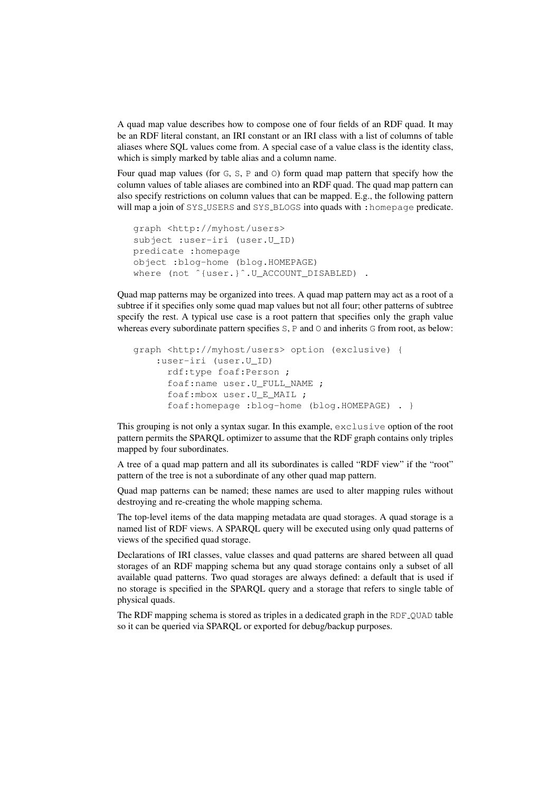A quad map value describes how to compose one of four fields of an RDF quad. It may be an RDF literal constant, an IRI constant or an IRI class with a list of columns of table aliases where SQL values come from. A special case of a value class is the identity class, which is simply marked by table alias and a column name.

Four quad map values (for G, S, P and  $\circ$ ) form quad map pattern that specify how the column values of table aliases are combined into an RDF quad. The quad map pattern can also specify restrictions on column values that can be mapped. E.g., the following pattern will map a join of SYS\_USERS and SYS\_BLOGS into quads with : homepage predicate.

```
graph <http://myhost/users>
subject :user-iri (user.U_ID)
predicate :homepage
object :blog-home (blog.HOMEPAGE)
where (not ^{user.}^.U_ACCOUNT_DISABLED) .
```
Quad map patterns may be organized into trees. A quad map pattern may act as a root of a subtree if it specifies only some quad map values but not all four; other patterns of subtree specify the rest. A typical use case is a root pattern that specifies only the graph value whereas every subordinate pattern specifies S, P and O and inherits G from root, as below:

```
graph <http://myhost/users> option (exclusive) {
    :user-iri (user.U_ID)
      rdf:type foaf:Person ;
      foaf:name user.U_FULL_NAME ;
      foaf:mbox user.U_E_MAIL ;
      foaf:homepage :blog-home (blog.HOMEPAGE) . }
```
This grouping is not only a syntax sugar. In this example, exclusive option of the root pattern permits the SPARQL optimizer to assume that the RDF graph contains only triples mapped by four subordinates.

A tree of a quad map pattern and all its subordinates is called "RDF view" if the "root" pattern of the tree is not a subordinate of any other quad map pattern.

Quad map patterns can be named; these names are used to alter mapping rules without destroying and re-creating the whole mapping schema.

The top-level items of the data mapping metadata are quad storages. A quad storage is a named list of RDF views. A SPARQL query will be executed using only quad patterns of views of the specified quad storage.

Declarations of IRI classes, value classes and quad patterns are shared between all quad storages of an RDF mapping schema but any quad storage contains only a subset of all available quad patterns. Two quad storages are always defined: a default that is used if no storage is specified in the SPARQL query and a storage that refers to single table of physical quads.

The RDF mapping schema is stored as triples in a dedicated graph in the RDF\_QUAD table so it can be queried via SPARQL or exported for debug/backup purposes.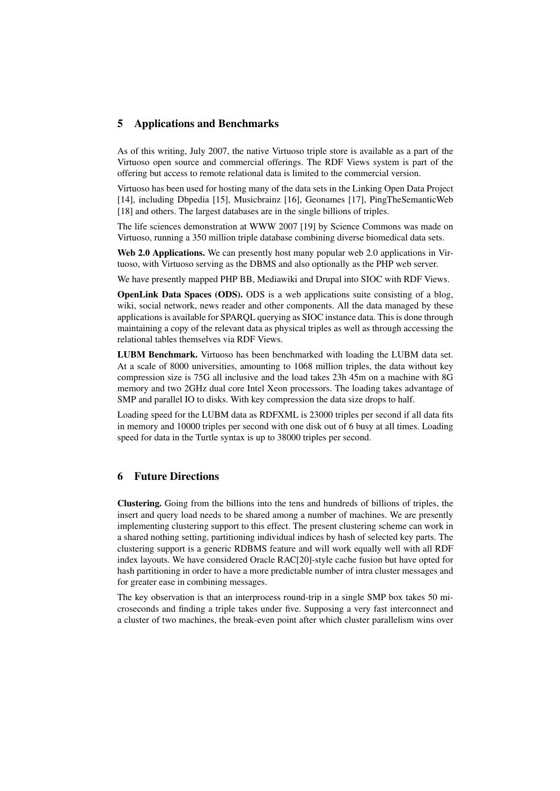#### 5 Applications and Benchmarks

As of this writing, July 2007, the native Virtuoso triple store is available as a part of the Virtuoso open source and commercial offerings. The RDF Views system is part of the offering but access to remote relational data is limited to the commercial version.

Virtuoso has been used for hosting many of the data sets in the Linking Open Data Project [14], including Dbpedia [15], Musicbrainz [16], Geonames [17], PingTheSemanticWeb [18] and others. The largest databases are in the single billions of triples.

The life sciences demonstration at WWW 2007 [19] by Science Commons was made on Virtuoso, running a 350 million triple database combining diverse biomedical data sets.

Web 2.0 Applications. We can presently host many popular web 2.0 applications in Virtuoso, with Virtuoso serving as the DBMS and also optionally as the PHP web server.

We have presently mapped PHP BB, Mediawiki and Drupal into SIOC with RDF Views.

OpenLink Data Spaces (ODS). ODS is a web applications suite consisting of a blog, wiki, social network, news reader and other components. All the data managed by these applications is available for SPARQL querying as SIOC instance data. This is done through maintaining a copy of the relevant data as physical triples as well as through accessing the relational tables themselves via RDF Views.

LUBM Benchmark. Virtuoso has been benchmarked with loading the LUBM data set. At a scale of 8000 universities, amounting to 1068 million triples, the data without key compression size is 75G all inclusive and the load takes 23h 45m on a machine with 8G memory and two 2GHz dual core Intel Xeon processors. The loading takes advantage of SMP and parallel IO to disks. With key compression the data size drops to half.

Loading speed for the LUBM data as RDFXML is 23000 triples per second if all data fits in memory and 10000 triples per second with one disk out of 6 busy at all times. Loading speed for data in the Turtle syntax is up to 38000 triples per second.

### 6 Future Directions

Clustering. Going from the billions into the tens and hundreds of billions of triples, the insert and query load needs to be shared among a number of machines. We are presently implementing clustering support to this effect. The present clustering scheme can work in a shared nothing setting, partitioning individual indices by hash of selected key parts. The clustering support is a generic RDBMS feature and will work equally well with all RDF index layouts. We have considered Oracle RAC[20]-style cache fusion but have opted for hash partitioning in order to have a more predictable number of intra cluster messages and for greater ease in combining messages.

The key observation is that an interprocess round-trip in a single SMP box takes 50 microseconds and finding a triple takes under five. Supposing a very fast interconnect and a cluster of two machines, the break-even point after which cluster parallelism wins over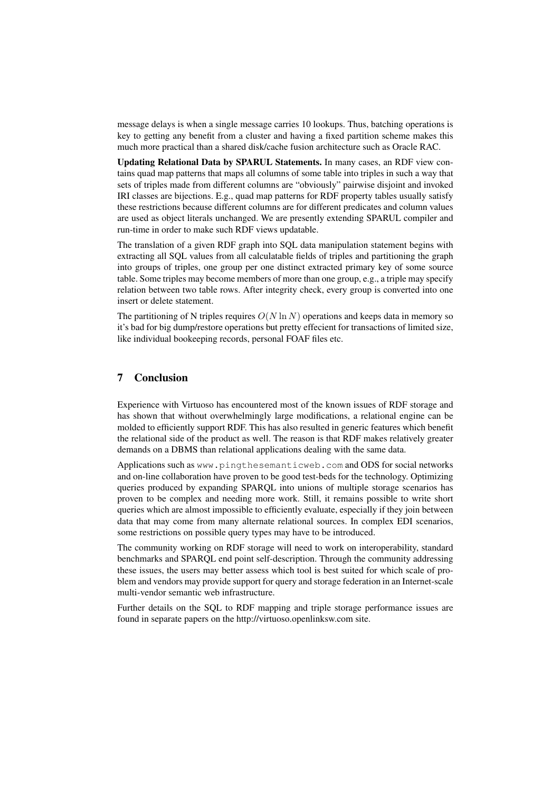message delays is when a single message carries 10 lookups. Thus, batching operations is key to getting any benefit from a cluster and having a fixed partition scheme makes this much more practical than a shared disk/cache fusion architecture such as Oracle RAC.

Updating Relational Data by SPARUL Statements. In many cases, an RDF view contains quad map patterns that maps all columns of some table into triples in such a way that sets of triples made from different columns are "obviously" pairwise disjoint and invoked IRI classes are bijections. E.g., quad map patterns for RDF property tables usually satisfy these restrictions because different columns are for different predicates and column values are used as object literals unchanged. We are presently extending SPARUL compiler and run-time in order to make such RDF views updatable.

The translation of a given RDF graph into SQL data manipulation statement begins with extracting all SQL values from all calculatable fields of triples and partitioning the graph into groups of triples, one group per one distinct extracted primary key of some source table. Some triples may become members of more than one group, e.g., a triple may specify relation between two table rows. After integrity check, every group is converted into one insert or delete statement.

The partitioning of N triples requires  $O(N \ln N)$  operations and keeps data in memory so it's bad for big dump/restore operations but pretty effecient for transactions of limited size, like individual bookeeping records, personal FOAF files etc.

# 7 Conclusion

Experience with Virtuoso has encountered most of the known issues of RDF storage and has shown that without overwhelmingly large modifications, a relational engine can be molded to efficiently support RDF. This has also resulted in generic features which benefit the relational side of the product as well. The reason is that RDF makes relatively greater demands on a DBMS than relational applications dealing with the same data.

Applications such as www.pingthesemanticweb.com and ODS for social networks and on-line collaboration have proven to be good test-beds for the technology. Optimizing queries produced by expanding SPARQL into unions of multiple storage scenarios has proven to be complex and needing more work. Still, it remains possible to write short queries which are almost impossible to efficiently evaluate, especially if they join between data that may come from many alternate relational sources. In complex EDI scenarios, some restrictions on possible query types may have to be introduced.

The community working on RDF storage will need to work on interoperability, standard benchmarks and SPARQL end point self-description. Through the community addressing these issues, the users may better assess which tool is best suited for which scale of problem and vendors may provide support for query and storage federation in an Internet-scale multi-vendor semantic web infrastructure.

Further details on the SQL to RDF mapping and triple storage performance issues are found in separate papers on the http://virtuoso.openlinksw.com site.